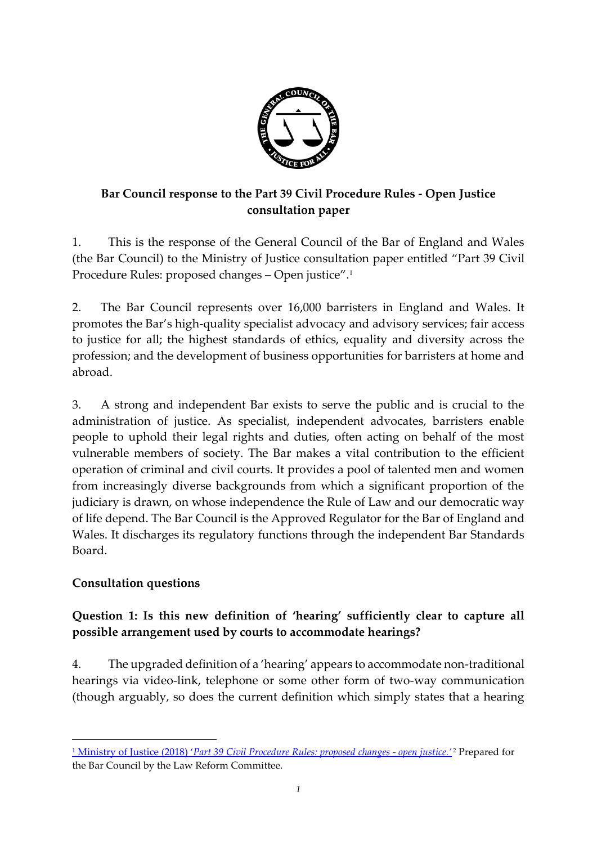

# **Bar Council response to the Part 39 Civil Procedure Rules - Open Justice consultation paper**

1. This is the response of the General Council of the Bar of England and Wales (the Bar Council) to the Ministry of Justice consultation paper entitled "Part 39 Civil Procedure Rules: proposed changes – Open justice".<sup>1</sup>

2. The Bar Council represents over 16,000 barristers in England and Wales. It promotes the Bar's high-quality specialist advocacy and advisory services; fair access to justice for all; the highest standards of ethics, equality and diversity across the profession; and the development of business opportunities for barristers at home and abroad.

3. A strong and independent Bar exists to serve the public and is crucial to the administration of justice. As specialist, independent advocates, barristers enable people to uphold their legal rights and duties, often acting on behalf of the most vulnerable members of society. The Bar makes a vital contribution to the efficient operation of criminal and civil courts. It provides a pool of talented men and women from increasingly diverse backgrounds from which a significant proportion of the judiciary is drawn, on whose independence the Rule of Law and our democratic way of life depend. The Bar Council is the Approved Regulator for the Bar of England and Wales. It discharges its regulatory functions through the independent Bar Standards Board.

## **Consultation questions**

**.** 

# **Question 1: Is this new definition of 'hearing' sufficiently clear to capture all possible arrangement used by courts to accommodate hearings?**

4. The upgraded definition of a 'hearing' appears to accommodate non-traditional hearings via video-link, telephone or some other form of two-way communication (though arguably, so does the current definition which simply states that a hearing

<sup>1</sup> Ministry of Justice (2018) '*[Part 39 Civil Procedure Rules: proposed changes -](https://consult.justice.gov.uk/digital-communications/part-39-civil-procedure-rules-proposed-changes/supporting_documents/part39civilprocedurerulesproposedchanges.pdf) open justice.'* <sup>2</sup> Prepared for the Bar Council by the Law Reform Committee.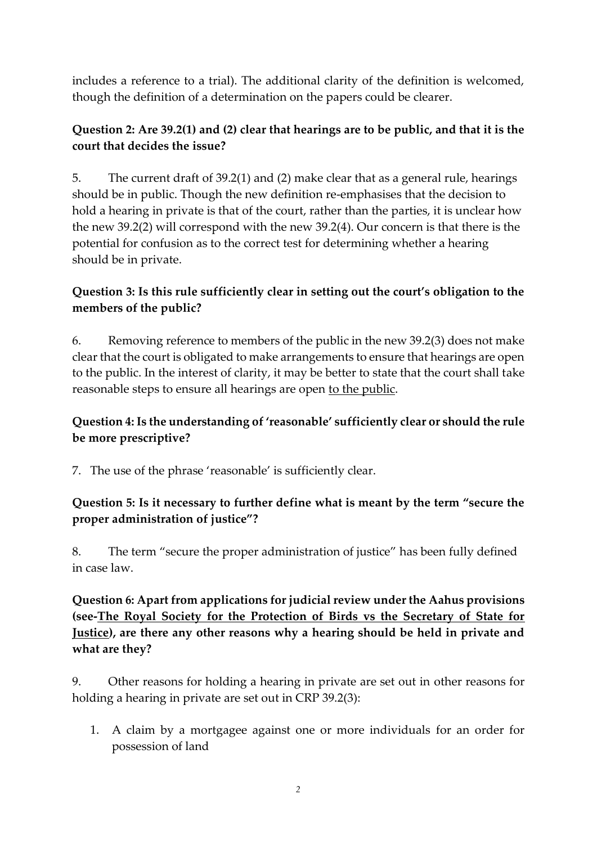includes a reference to a trial). The additional clarity of the definition is welcomed, though the definition of a determination on the papers could be clearer.

## **Question 2: Are 39.2(1) and (2) clear that hearings are to be public, and that it is the court that decides the issue?**

5. The current draft of 39.2(1) and (2) make clear that as a general rule, hearings should be in public. Though the new definition re-emphasises that the decision to hold a hearing in private is that of the court, rather than the parties, it is unclear how the new 39.2(2) will correspond with the new 39.2(4). Our concern is that there is the potential for confusion as to the correct test for determining whether a hearing should be in private.

# **Question 3: Is this rule sufficiently clear in setting out the court's obligation to the members of the public?**

6. Removing reference to members of the public in the new 39.2(3) does not make clear that the court is obligated to make arrangements to ensure that hearings are open to the public. In the interest of clarity, it may be better to state that the court shall take reasonable steps to ensure all hearings are open to the public.

# **Question 4: Is the understanding of 'reasonable' sufficiently clear or should the rule be more prescriptive?**

7. The use of the phrase 'reasonable' is sufficiently clear.

# **Question 5: Is it necessary to further define what is meant by the term "secure the proper administration of justice"?**

8. The term "secure the proper administration of justice" has been fully defined in case law.

**Question 6: Apart from applications for judicial review under the Aahus provisions (see-The Royal Society for the Protection of Birds vs the Secretary of State for Justice), are there any other reasons why a hearing should be held in private and what are they?**

9. Other reasons for holding a hearing in private are set out in other reasons for holding a hearing in private are set out in CRP 39.2(3):

1. A claim by a mortgagee against one or more individuals for an order for possession of land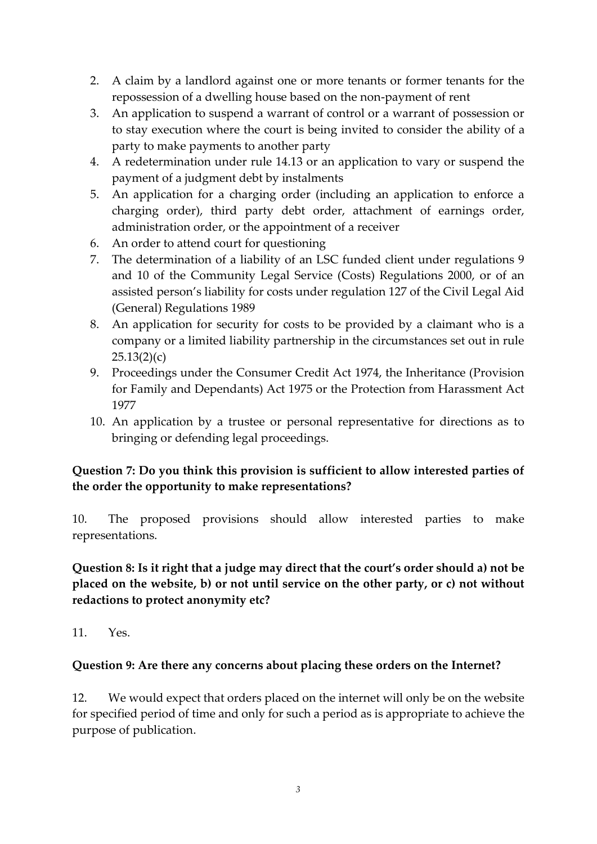- 2. A claim by a landlord against one or more tenants or former tenants for the repossession of a dwelling house based on the non-payment of rent
- 3. An application to suspend a warrant of control or a warrant of possession or to stay execution where the court is being invited to consider the ability of a party to make payments to another party
- 4. A redetermination under rule 14.13 or an application to vary or suspend the payment of a judgment debt by instalments
- 5. An application for a charging order (including an application to enforce a charging order), third party debt order, attachment of earnings order, administration order, or the appointment of a receiver
- 6. An order to attend court for questioning
- 7. The determination of a liability of an LSC funded client under regulations 9 and 10 of the Community Legal Service (Costs) Regulations 2000, or of an assisted person's liability for costs under regulation 127 of the Civil Legal Aid (General) Regulations 1989
- 8. An application for security for costs to be provided by a claimant who is a company or a limited liability partnership in the circumstances set out in rule  $25.13(2)(c)$
- 9. Proceedings under the Consumer Credit Act 1974, the Inheritance (Provision for Family and Dependants) Act 1975 or the Protection from Harassment Act 1977
- 10. An application by a trustee or personal representative for directions as to bringing or defending legal proceedings.

# **Question 7: Do you think this provision is sufficient to allow interested parties of the order the opportunity to make representations?**

10. The proposed provisions should allow interested parties to make representations.

## **Question 8: Is it right that a judge may direct that the court's order should a) not be placed on the website, b) or not until service on the other party, or c) not without redactions to protect anonymity etc?**

11.  $Y_{\text{PS}}$ 

#### **Question 9: Are there any concerns about placing these orders on the Internet?**

12. We would expect that orders placed on the internet will only be on the website for specified period of time and only for such a period as is appropriate to achieve the purpose of publication.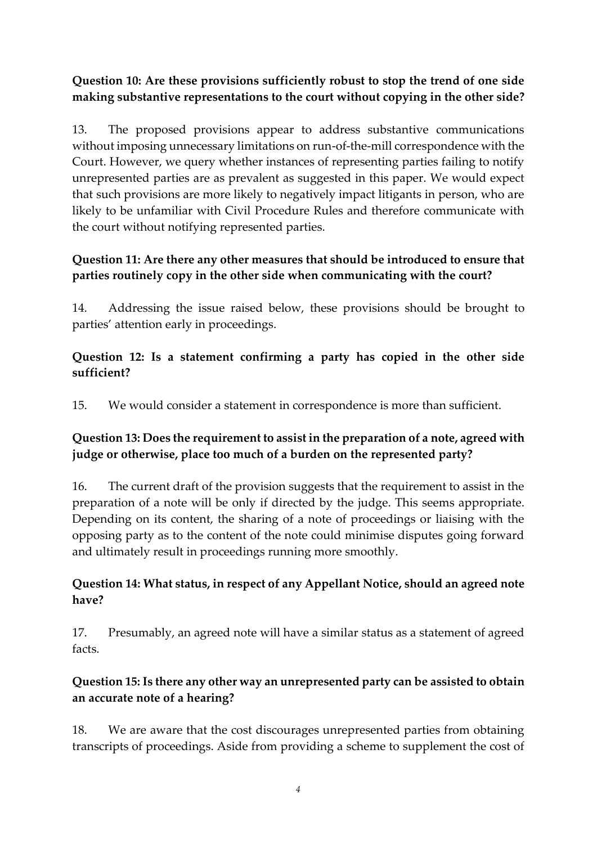# **Question 10: Are these provisions sufficiently robust to stop the trend of one side making substantive representations to the court without copying in the other side?**

13. The proposed provisions appear to address substantive communications without imposing unnecessary limitations on run-of-the-mill correspondence with the Court. However, we query whether instances of representing parties failing to notify unrepresented parties are as prevalent as suggested in this paper. We would expect that such provisions are more likely to negatively impact litigants in person, who are likely to be unfamiliar with Civil Procedure Rules and therefore communicate with the court without notifying represented parties.

# **Question 11: Are there any other measures that should be introduced to ensure that parties routinely copy in the other side when communicating with the court?**

14. Addressing the issue raised below, these provisions should be brought to parties' attention early in proceedings.

## **Question 12: Is a statement confirming a party has copied in the other side sufficient?**

15. We would consider a statement in correspondence is more than sufficient.

## **Question 13: Does the requirement to assist in the preparation of a note, agreed with judge or otherwise, place too much of a burden on the represented party?**

16. The current draft of the provision suggests that the requirement to assist in the preparation of a note will be only if directed by the judge. This seems appropriate. Depending on its content, the sharing of a note of proceedings or liaising with the opposing party as to the content of the note could minimise disputes going forward and ultimately result in proceedings running more smoothly.

## **Question 14: What status, in respect of any Appellant Notice, should an agreed note have?**

17. Presumably, an agreed note will have a similar status as a statement of agreed facts.

# **Question 15: Is there any other way an unrepresented party can be assisted to obtain an accurate note of a hearing?**

18. We are aware that the cost discourages unrepresented parties from obtaining transcripts of proceedings. Aside from providing a scheme to supplement the cost of